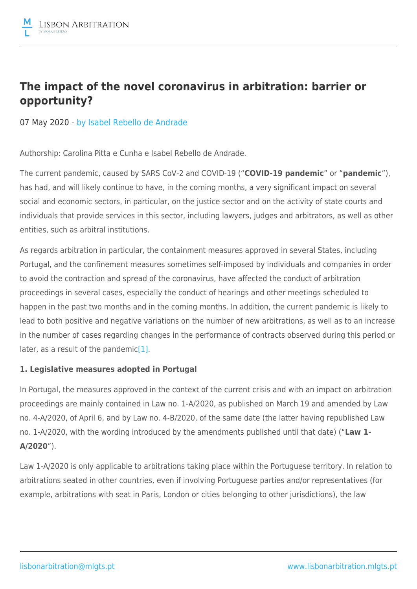# **The impact of the novel coronavirus in arbitration: barrier or opportunity?**

07 May 2020 - by [Isabel Rebello de Andrade](https://lisbonarbitration.mlgts.pt/articles/?f_author=94?v=2)

Authorship: Carolina Pitta e Cunha e Isabel Rebello de Andrade.

The current pandemic, caused by SARS CoV-2 and COVID-19 ("**COVID-19 pandemic**" or "**pandemic**"), has had, and will likely continue to have, in the coming months, a very significant impact on several social and economic sectors, in particular, on the justice sector and on the activity of state courts and individuals that provide services in this sector, including lawyers, judges and arbitrators, as well as other entities, such as arbitral institutions.

As regards arbitration in particular, the containment measures approved in several States, including Portugal, and the confinement measures sometimes self-imposed by individuals and companies in order to avoid the contraction and spread of the coronavirus, have affected the conduct of arbitration proceedings in several cases, especially the conduct of hearings and other meetings scheduled to happen in the past two months and in the coming months. In addition, the current pandemic is likely to lead to both positive and negative variations on the number of new arbitrations, as well as to an increase in the number of cases regarding changes in the performance of contracts observed during this period or later, as a result of the pandemic<sup>[1]</sup>.

## **1. Legislative measures adopted in Portugal**

In Portugal, the measures approved in the context of the current crisis and with an impact on arbitration proceedings are mainly contained in Law no. 1-A/2020, as published on March 19 and amended by Law no. 4-A/2020, of April 6, and by Law no. 4-B/2020, of the same date (the latter having republished Law no. 1-A/2020, with the wording introduced by the amendments published until that date) ("**Law 1- A/2020**").

Law 1-A/2020 is only applicable to arbitrations taking place within the Portuguese territory. In relation to arbitrations seated in other countries, even if involving Portuguese parties and/or representatives (for example, arbitrations with seat in Paris, London or cities belonging to other jurisdictions), the law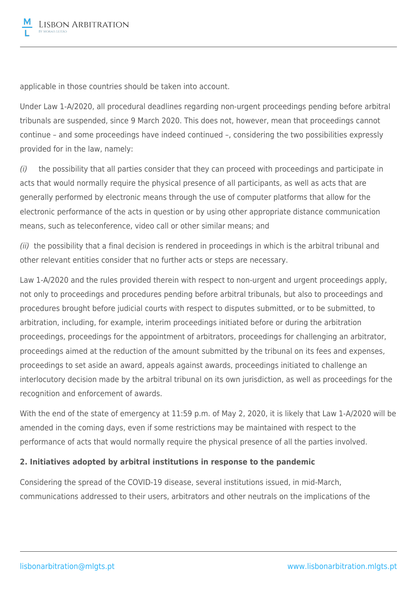applicable in those countries should be taken into account.

Under Law 1-A/2020, all procedural deadlines regarding non-urgent proceedings pending before arbitral tribunals are suspended, since 9 March 2020. This does not, however, mean that proceedings cannot continue – and some proceedings have indeed continued –, considering the two possibilities expressly provided for in the law, namely:

(i) the possibility that all parties consider that they can proceed with proceedings and participate in acts that would normally require the physical presence of all participants, as well as acts that are generally performed by electronic means through the use of computer platforms that allow for the electronic performance of the acts in question or by using other appropriate distance communication means, such as teleconference, video call or other similar means; and

(ii) the possibility that a final decision is rendered in proceedings in which is the arbitral tribunal and other relevant entities consider that no further acts or steps are necessary.

Law 1-A/2020 and the rules provided therein with respect to non-urgent and urgent proceedings apply, not only to proceedings and procedures pending before arbitral tribunals, but also to proceedings and procedures brought before judicial courts with respect to disputes submitted, or to be submitted, to arbitration, including, for example, interim proceedings initiated before or during the arbitration proceedings, proceedings for the appointment of arbitrators, proceedings for challenging an arbitrator, proceedings aimed at the reduction of the amount submitted by the tribunal on its fees and expenses, proceedings to set aside an award, appeals against awards, proceedings initiated to challenge an interlocutory decision made by the arbitral tribunal on its own jurisdiction, as well as proceedings for the recognition and enforcement of awards.

With the end of the state of emergency at 11:59 p.m. of May 2, 2020, it is likely that Law 1-A/2020 will be amended in the coming days, even if some restrictions may be maintained with respect to the performance of acts that would normally require the physical presence of all the parties involved.

## **2. Initiatives adopted by arbitral institutions in response to the pandemic**

Considering the spread of the COVID-19 disease, several institutions issued, in mid-March, communications addressed to their users, arbitrators and other neutrals on the implications of the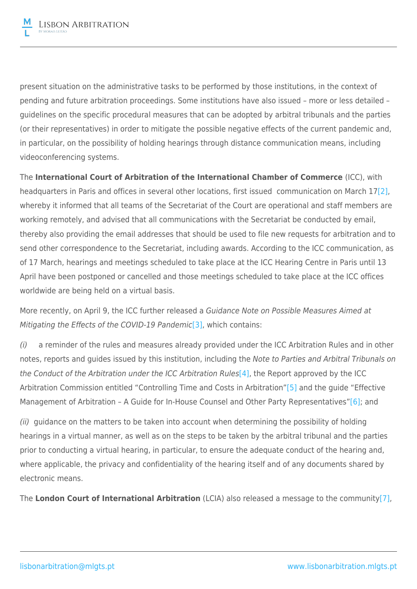present situation on the administrative tasks to be performed by those institutions, in the context of pending and future arbitration proceedings. Some institutions have also issued – more or less detailed – guidelines on the specific procedural measures that can be adopted by arbitral tribunals and the parties (or their representatives) in order to mitigate the possible negative effects of the current pandemic and, in particular, on the possibility of holding hearings through distance communication means, including videoconferencing systems.

The **International Court of Arbitration of the International Chamber of Commerce** (ICC), with headquarters in Paris and offices in several other locations, first issued communication on March 17<sup>[2]</sup>, whereby it informed that all teams of the Secretariat of the Court are operational and staff members are working remotely, and advised that all communications with the Secretariat be conducted by email, thereby also providing the email addresses that should be used to file new requests for arbitration and to send other correspondence to the Secretariat, including awards. According to the ICC communication, as of 17 March, hearings and meetings scheduled to take place at the ICC Hearing Centre in Paris until 13 April have been postponed or cancelled and those meetings scheduled to take place at the ICC offices worldwide are being held on a virtual basis.

More recently, on April 9, the ICC further released a Guidance Note on Possible Measures Aimed at Mitigating the Effects of the COVID-19 Pandemic<sup>[3]</sup>, which contains:

(i) a reminder of the rules and measures already provided under the ICC Arbitration Rules and in other notes, reports and guides issued by this institution, including the Note to Parties and Arbitral Tribunals on the Conduct of the Arbitration under the ICC Arbitration Rules<sup>[4]</sup>, the Report approved by the ICC Arbitration Commission entitled "Controlling Time and Costs in Arbitration"[\[5\]](file:///C:/Users/NMF/AppData/Local/Microsoft/Windows/INetCache/Content.Outlook/LP9OK8TY/MLGTS_LAWC-#4240993-v1-The impact of the novel coronavirus in arbitration_ barrier or opportunity_.DOCX#_ftn5) and the guide "Effective Management of Arbitration - A Guide for In-House Counsel and Other Party Representatives["\[6\]](file:///C:/Users/NMF/AppData/Local/Microsoft/Windows/INetCache/Content.Outlook/LP9OK8TY/MLGTS_LAWC-#4240993-v1-The impact of the novel coronavirus in arbitration_ barrier or opportunity_.DOCX#_ftn6); and

(ii) guidance on the matters to be taken into account when determining the possibility of holding hearings in a virtual manner, as well as on the steps to be taken by the arbitral tribunal and the parties prior to conducting a virtual hearing, in particular, to ensure the adequate conduct of the hearing and, where applicable, the privacy and confidentiality of the hearing itself and of any documents shared by electronic means.

The **London Court of International Arbitration** (LCIA) also released a message to the communit[y\[7\],](file:///C:/Users/NMF/AppData/Local/Microsoft/Windows/INetCache/Content.Outlook/LP9OK8TY/MLGTS_LAWC-#4240993-v1-The impact of the novel coronavirus in arbitration_ barrier or opportunity_.DOCX#_ftn7)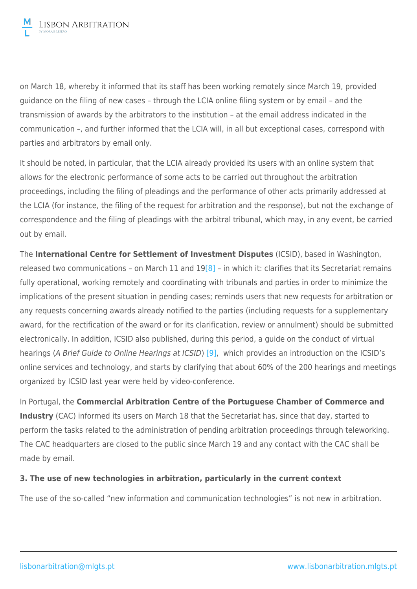on March 18, whereby it informed that its staff has been working remotely since March 19, provided guidance on the filing of new cases – through the LCIA online filing system or by email – and the transmission of awards by the arbitrators to the institution – at the email address indicated in the communication –, and further informed that the LCIA will, in all but exceptional cases, correspond with parties and arbitrators by email only.

It should be noted, in particular, that the LCIA already provided its users with an online system that allows for the electronic performance of some acts to be carried out throughout the arbitration proceedings, including the filing of pleadings and the performance of other acts primarily addressed at the LCIA (for instance, the filing of the request for arbitration and the response), but not the exchange of correspondence and the filing of pleadings with the arbitral tribunal, which may, in any event, be carried out by email.

The **International Centre for Settlement of Investment Disputes** (ICSID), based in Washington, released two communications – on March 11 and  $19[8]$  $19[8]$  – in which it: clarifies that its Secretariat remains fully operational, working remotely and coordinating with tribunals and parties in order to minimize the implications of the present situation in pending cases; reminds users that new requests for arbitration or any requests concerning awards already notified to the parties (including requests for a supplementary award, for the rectification of the award or for its clarification, review or annulment) should be submitted electronically. In addition, ICSID also published, during this period, a guide on the conduct of virtual hearings (A Brief Guide to Online Hearings at ICSID) [\[9\]](file:///C:/Users/NMF/AppData/Local/Microsoft/Windows/INetCache/Content.Outlook/LP9OK8TY/MLGTS_LAWC-#4240993-v1-The impact of the novel coronavirus in arbitration_ barrier or opportunity_.DOCX#_ftn9), which provides an introduction on the ICSID's online services and technology, and starts by clarifying that about 60% of the 200 hearings and meetings organized by ICSID last year were held by video-conference.

In Portugal, the **Commercial Arbitration Centre of the Portuguese Chamber of Commerce and Industry** (CAC) informed its users on March 18 that the Secretariat has, since that day, started to perform the tasks related to the administration of pending arbitration proceedings through teleworking. The CAC headquarters are closed to the public since March 19 and any contact with the CAC shall be made by email.

## **3. The use of new technologies in arbitration, particularly in the current context**

The use of the so-called "new information and communication technologies" is not new in arbitration.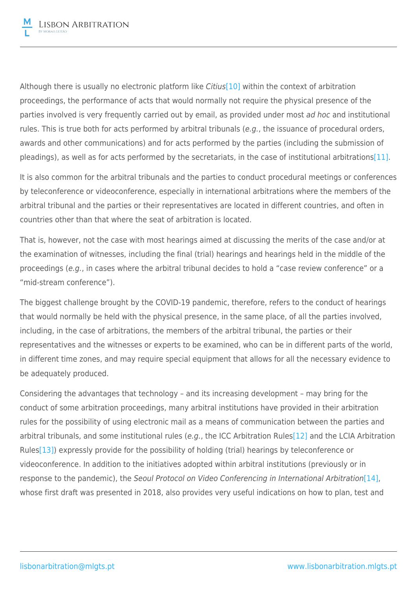Although there is usually no electronic platform like Citius<sup>[\[10\]](file:///C:/Users/NMF/AppData/Local/Microsoft/Windows/INetCache/Content.Outlook/LP9OK8TY/MLGTS_LAWC-#4240993-v1-The impact of the novel coronavirus in arbitration_ barrier or opportunity_.DOCX#_ftn10)</sup> within the context of arbitration proceedings, the performance of acts that would normally not require the physical presence of the parties involved is very frequently carried out by email, as provided under most ad hoc and institutional rules. This is true both for acts performed by arbitral tribunals (e.g., the issuance of procedural orders, awards and other communications) and for acts performed by the parties (including the submission of pleadings), as well as for acts performed by the secretariats, in the case of institutional arbitrations[\[11\].](file:///C:/Users/NMF/AppData/Local/Microsoft/Windows/INetCache/Content.Outlook/LP9OK8TY/MLGTS_LAWC-#4240993-v1-The impact of the novel coronavirus in arbitration_ barrier or opportunity_.DOCX#_ftn11)

It is also common for the arbitral tribunals and the parties to conduct procedural meetings or conferences by teleconference or videoconference, especially in international arbitrations where the members of the arbitral tribunal and the parties or their representatives are located in different countries, and often in countries other than that where the seat of arbitration is located.

That is, however, not the case with most hearings aimed at discussing the merits of the case and/or at the examination of witnesses, including the final (trial) hearings and hearings held in the middle of the proceedings (e.g., in cases where the arbitral tribunal decides to hold a "case review conference" or a "mid-stream conference").

The biggest challenge brought by the COVID-19 pandemic, therefore, refers to the conduct of hearings that would normally be held with the physical presence, in the same place, of all the parties involved, including, in the case of arbitrations, the members of the arbitral tribunal, the parties or their representatives and the witnesses or experts to be examined, who can be in different parts of the world, in different time zones, and may require special equipment that allows for all the necessary evidence to be adequately produced.

Considering the advantages that technology – and its increasing development – may bring for the conduct of some arbitration proceedings, many arbitral institutions have provided in their arbitration rules for the possibility of using electronic mail as a means of communication between the parties and arbitral tribunals, and some institutional rules (e.g., the ICC Arbitration Rules<sup>[12]</sup> and the LCIA Arbitration Rules<sup>[13]</sup>) expressly provide for the possibility of holding (trial) hearings by teleconference or videoconference. In addition to the initiatives adopted within arbitral institutions (previously or in response to the pandemic), the Seoul Protocol on Video Conferencing in International Arbitration<sup>[\[14\]](file:///C:/Users/NMF/AppData/Local/Microsoft/Windows/INetCache/Content.Outlook/LP9OK8TY/MLGTS_LAWC-#4240993-v1-The impact of the novel coronavirus in arbitration_ barrier or opportunity_.DOCX#_ftn14)</sup>, whose first draft was presented in 2018, also provides very useful indications on how to plan, test and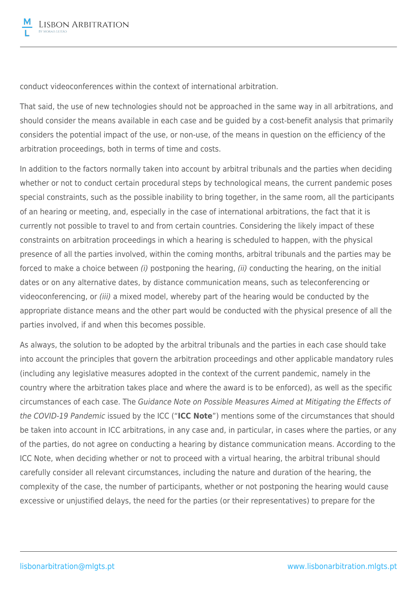conduct videoconferences within the context of international arbitration.

That said, the use of new technologies should not be approached in the same way in all arbitrations, and should consider the means available in each case and be guided by a cost-benefit analysis that primarily considers the potential impact of the use, or non-use, of the means in question on the efficiency of the arbitration proceedings, both in terms of time and costs.

In addition to the factors normally taken into account by arbitral tribunals and the parties when deciding whether or not to conduct certain procedural steps by technological means, the current pandemic poses special constraints, such as the possible inability to bring together, in the same room, all the participants of an hearing or meeting, and, especially in the case of international arbitrations, the fact that it is currently not possible to travel to and from certain countries. Considering the likely impact of these constraints on arbitration proceedings in which a hearing is scheduled to happen, with the physical presence of all the parties involved, within the coming months, arbitral tribunals and the parties may be forced to make a choice between (i) postponing the hearing, (ii) conducting the hearing, on the initial dates or on any alternative dates, by distance communication means, such as teleconferencing or videoconferencing, or (iii) a mixed model, whereby part of the hearing would be conducted by the appropriate distance means and the other part would be conducted with the physical presence of all the parties involved, if and when this becomes possible.

As always, the solution to be adopted by the arbitral tribunals and the parties in each case should take into account the principles that govern the arbitration proceedings and other applicable mandatory rules (including any legislative measures adopted in the context of the current pandemic, namely in the country where the arbitration takes place and where the award is to be enforced), as well as the specific circumstances of each case. The Guidance Note on Possible Measures Aimed at Mitigating the Effects of the COVID-19 Pandemic issued by the ICC ("**ICC Note**") mentions some of the circumstances that should be taken into account in ICC arbitrations, in any case and, in particular, in cases where the parties, or any of the parties, do not agree on conducting a hearing by distance communication means. According to the ICC Note, when deciding whether or not to proceed with a virtual hearing, the arbitral tribunal should carefully consider all relevant circumstances, including the nature and duration of the hearing, the complexity of the case, the number of participants, whether or not postponing the hearing would cause excessive or unjustified delays, the need for the parties (or their representatives) to prepare for the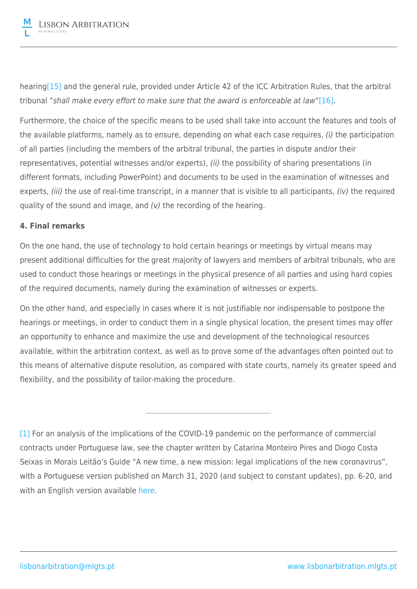hearin[g\[15\]](file:///C:/Users/NMF/AppData/Local/Microsoft/Windows/INetCache/Content.Outlook/LP9OK8TY/MLGTS_LAWC-#4240993-v1-The impact of the novel coronavirus in arbitration_ barrier or opportunity_.DOCX#_ftn15) and the general rule, provided under Article 42 of the ICC Arbitration Rules, that the arbitral tribunal "shall make every effort to make sure that the award is enforceable at law["\[16\]](file:///C:/Users/NMF/AppData/Local/Microsoft/Windows/INetCache/Content.Outlook/LP9OK8TY/MLGTS_LAWC-#4240993-v1-The impact of the novel coronavirus in arbitration_ barrier or opportunity_.DOCX#_ftn16).

Furthermore, the choice of the specific means to be used shall take into account the features and tools of the available platforms, namely as to ensure, depending on what each case requires, (i) the participation of all parties (including the members of the arbitral tribunal, the parties in dispute and/or their representatives, potential witnesses and/or experts), (ii) the possibility of sharing presentations (in different formats, including PowerPoint) and documents to be used in the examination of witnesses and experts, (iii) the use of real-time transcript, in a manner that is visible to all participants, (iv) the required quality of the sound and image, and (v) the recording of the hearing.

### **4. Final remarks**

On the one hand, the use of technology to hold certain hearings or meetings by virtual means may present additional difficulties for the great majority of lawyers and members of arbitral tribunals, who are used to conduct those hearings or meetings in the physical presence of all parties and using hard copies of the required documents, namely during the examination of witnesses or experts.

On the other hand, and especially in cases where it is not justifiable nor indispensable to postpone the hearings or meetings, in order to conduct them in a single physical location, the present times may offer an opportunity to enhance and maximize the use and development of the technological resources available, within the arbitration context, as well as to prove some of the advantages often pointed out to this means of alternative dispute resolution, as compared with state courts, namely its greater speed and flexibility, and the possibility of tailor-making the procedure.

[\[1\]](file:///C:/Users/NMF/AppData/Local/Microsoft/Windows/INetCache/Content.Outlook/LP9OK8TY/MLGTS_LAWC-#4240993-v1-The impact of the novel coronavirus in arbitration_ barrier or opportunity_.DOCX#_ftnref1) For an analysis of the implications of the COVID-19 pandemic on the performance of commercial contracts under Portuguese law, see the chapter written by Catarina Monteiro Pires and Diogo Costa Seixas in Morais Leitão's Guide "A new time, a new mission: legal implications of the new coronavirus", with a Portuguese version published on March 31, 2020 (and subject to constant updates), pp. 6-20, and with an English version available [here.](https://www.mlgts.pt/en/content/coronavirus/contract-performance/21351/)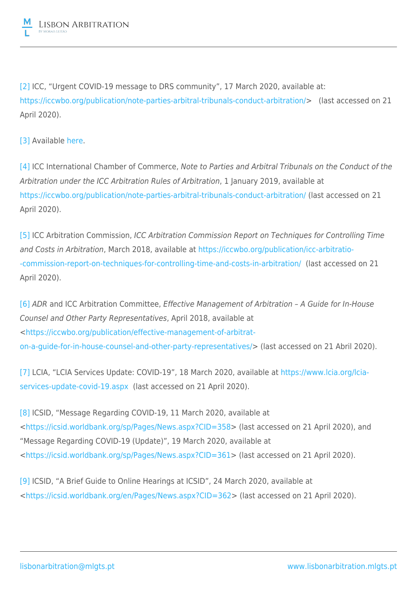

[\[2\]](file:///C:/Users/NMF/AppData/Local/Microsoft/Windows/INetCache/Content.Outlook/LP9OK8TY/MLGTS_LAWC-#4240993-v1-The impact of the novel coronavirus in arbitration_ barrier or opportunity_.DOCX#_ftnref2) ICC, "Urgent COVID-19 message to DRS community", 17 March 2020, available at: [https://iccwbo.org/publication/note-parties-arbitral-tribunals-conduct-arbitration/>](https://iccwbo.org/publication/note-parties-arbitral-tribunals-conduct-arbitration/) (last accessed on 21 April 2020).

[\[3\]](file:///C:/Users/NMF/AppData/Local/Microsoft/Windows/INetCache/Content.Outlook/LP9OK8TY/MLGTS_LAWC-#4240993-v1-The impact of the novel coronavirus in arbitration_ barrier or opportunity_.DOCX#_ftnref3) Available [here.](https://iccwbo.org/publication/icc-guidance-note-on-possible-measures-aimed-at-mitigating-the-effects-of-the-covid-19-pandemic/)

[\[4\]](file:///C:/Users/NMF/AppData/Local/Microsoft/Windows/INetCache/Content.Outlook/LP9OK8TY/MLGTS_LAWC-#4240993-v1-The impact of the novel coronavirus in arbitration_ barrier or opportunity_.DOCX#_ftnref4) ICC International Chamber of Commerce, Note to Parties and Arbitral Tribunals on the Conduct of the Arbitration under the ICC Arbitration Rules of Arbitration, 1 January 2019, available at <https://iccwbo.org/publication/note-parties-arbitral-tribunals-conduct-arbitration/>(last accessed on 21 April 2020).

[\[5\]](file:///C:/Users/NMF/AppData/Local/Microsoft/Windows/INetCache/Content.Outlook/LP9OK8TY/MLGTS_LAWC-#4240993-v1-The impact of the novel coronavirus in arbitration_ barrier or opportunity_.DOCX#_ftnref5) ICC Arbitration Commission, ICC Arbitration Commission Report on Techniques for Controlling Time and Costs in Arbitration, March 2018, available at [https://iccwbo.org/publication/icc-arbitratio-](https://iccwbo.org/publication/icc-arbitration-commission-report-on-techniques-for-controlling-time-and-costs-in-arbitration/) [-commission-report-on-techniques-for-controlling-time-and-costs-in-arbitration/](https://iccwbo.org/publication/icc-arbitration-commission-report-on-techniques-for-controlling-time-and-costs-in-arbitration/) (last accessed on 21 April 2020).

[\[6\]](file:///C:/Users/NMF/AppData/Local/Microsoft/Windows/INetCache/Content.Outlook/LP9OK8TY/MLGTS_LAWC-#4240993-v1-The impact of the novel coronavirus in arbitration_ barrier or opportunity_.DOCX#_ftnref6) ADR and ICC Arbitration Committee, Effective Management of Arbitration – A Guide for In-House Counsel and Other Party Representatives, April 2018, available at <[https://iccwbo.org/publication/effective-management-of-arbitrat](https://iccwbo.org/publication/effective-management-of-arbitration-a-guide-for-in-house-counsel-and-other-party-representatives/)[on-a-guide-for-in-house-counsel-and-other-party-representatives/](https://iccwbo.org/publication/effective-management-of-arbitration-a-guide-for-in-house-counsel-and-other-party-representatives/)> (last accessed on 21 Abril 2020).

[\[7\]](file:///C:/Users/NMF/AppData/Local/Microsoft/Windows/INetCache/Content.Outlook/LP9OK8TY/MLGTS_LAWC-#4240993-v1-The impact of the novel coronavirus in arbitration_ barrier or opportunity_.DOCX#_ftnref7) LCIA, "LCIA Services Update: COVID-19", 18 March 2020, available at [https://www.lcia.org/lcia](https://www.lcia.org/lcia-services-update-covid-19.aspx)[services-update-covid-19.aspx](https://www.lcia.org/lcia-services-update-covid-19.aspx) (last accessed on 21 April 2020).

[\[8\]](file:///C:/Users/NMF/AppData/Local/Microsoft/Windows/INetCache/Content.Outlook/LP9OK8TY/MLGTS_LAWC-#4240993-v1-The impact of the novel coronavirus in arbitration_ barrier or opportunity_.DOCX#_ftnref8) ICSID, "Message Regarding COVID-19, 11 March 2020, available at <[https://icsid.worldbank.org/sp/Pages/News.aspx?CID=358>](https://icsid.worldbank.org/sp/Pages/News.aspx?CID=358) (last accessed on 21 April 2020), and "Message Regarding COVID-19 (Update)", 19 March 2020, available at <[https://icsid.worldbank.org/sp/Pages/News.aspx?CID=361>](https://icsid.worldbank.org/sp/Pages/News.aspx?CID=361) (last accessed on 21 April 2020).

[\[9\]](file:///C:/Users/NMF/AppData/Local/Microsoft/Windows/INetCache/Content.Outlook/LP9OK8TY/MLGTS_LAWC-#4240993-v1-The impact of the novel coronavirus in arbitration_ barrier or opportunity_.DOCX#_ftnref9) ICSID, "A Brief Guide to Online Hearings at ICSID", 24 March 2020, available at <[https://icsid.worldbank.org/en/Pages/News.aspx?CID=362>](https://icsid.worldbank.org/en/Pages/News.aspx?CID=362) (last accessed on 21 April 2020).